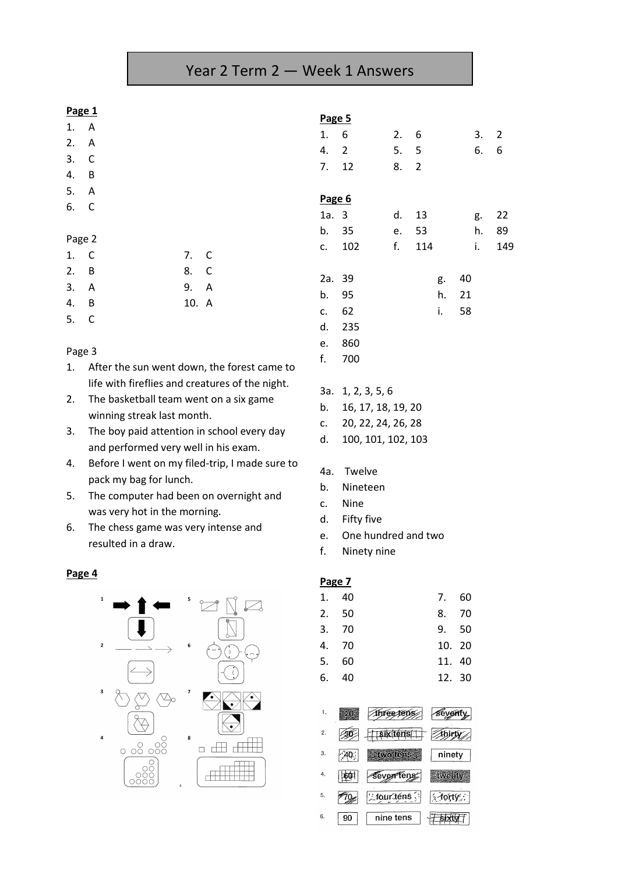# Year 2 Term 2 — Week 1 Answers

## **Page 1**

| $ -$   |   |    |     |   |
|--------|---|----|-----|---|
| 1.     | Α |    |     |   |
| 2.     | Α |    |     |   |
| 3.     | C |    |     |   |
| 4.     | В |    |     |   |
| 5.     | Α |    |     |   |
| 6.     | C |    |     |   |
|        |   |    |     |   |
| Page 2 |   |    |     |   |
| 1.     | С | 7. |     | C |
| 2.     | В | 8. |     | C |
| 3.     | Α | 9. |     | Α |
| 4.     | В |    | 10. | Α |
| 5.     | C |    |     |   |

#### Page 3

- 1. After the sun went down, the forest came to life with fireflies and creatures of the night.
- 2. The basketball team went on a six game winning streak last month.
- 3. The boy paid attention in school every day and performed very well in his exam.
- 4. Before I went on my filed-trip, I made sure to pack my bag for lunch.
- 5. The computer had been on overnight and was very hot in the morning.
- 6. The chess game was very intense and resulted in a draw.

### **Page 4**



| Page 5  |                        |              |     |       |     |      |       |
|---------|------------------------|--------------|-----|-------|-----|------|-------|
| 1.6     |                        | 2.6          |     |       |     | 3.2  |       |
| 4. 2    |                        | 5.5          |     |       |     | 6. 6 |       |
| 7.12    |                        | 8.2          |     |       |     |      |       |
| Page 6  |                        |              |     |       |     |      |       |
| 1a. 3   |                        | d. 13        |     |       |     |      | g. 22 |
|         | b. 35                  | e. 53        |     |       |     | h.   | 89    |
|         | c. 102                 | $f_{\rm{r}}$ | 114 |       |     | i.   | 149   |
| 2a. 39  |                        |              |     | g.    | -40 |      |       |
| b. 95   |                        |              |     | h. 21 |     |      |       |
| c. $62$ |                        |              |     | i.    | 58  |      |       |
|         | d. 235                 |              |     |       |     |      |       |
|         | e. 860                 |              |     |       |     |      |       |
|         | f. 700                 |              |     |       |     |      |       |
|         | 3a. 1, 2, 3, 5, 6      |              |     |       |     |      |       |
| b.      | 16, 17, 18, 19, 20     |              |     |       |     |      |       |
|         | c. 20, 22, 24, 26, 28  |              |     |       |     |      |       |
| d.      | 100, 101, 102, 103     |              |     |       |     |      |       |
|         | 4a. Twelve             |              |     |       |     |      |       |
| b.      | Nineteen               |              |     |       |     |      |       |
|         | c. Nine                |              |     |       |     |      |       |
| d.      | Fifty five             |              |     |       |     |      |       |
|         | e. One hundred and two |              |     |       |     |      |       |
| f.      | Ninety nine            |              |     |       |     |      |       |
| Page 7  |                        |              |     |       |     |      |       |
| 1.      | 40                     |              |     | 7.    | 60  |      |       |
| 2.      | 50                     |              |     | 8.    | 70  |      |       |
| 3.      | 70                     |              |     | 9.    | 50  |      |       |
| 4.      | 70                     |              |     | 10.   | 20  |      |       |
| 5.      | 60                     |              |     | 11.   | 40  |      |       |
| 6.      | 40                     |              |     | 12.   | 30  |      |       |

| 1. |    | n                                 | 8ev           |
|----|----|-----------------------------------|---------------|
| 2. |    | dtensi                            |               |
| 3. |    | two tens                          | ninety        |
| 4. |    | tens:<br>Seven                    | twenty        |
| 5. |    | $tan$ tour tens<br>$\ddot{\cdot}$ | $z$ torty $z$ |
| 6. | 90 | nine tens                         |               |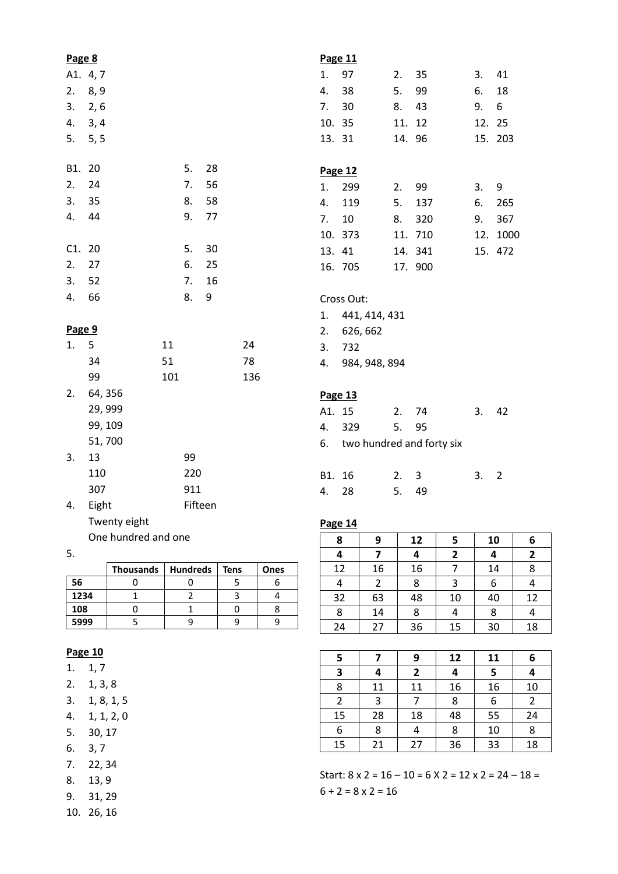| Page 8 |              |     |         |    |     |    | Page 11       |    |                           |        |                |
|--------|--------------|-----|---------|----|-----|----|---------------|----|---------------------------|--------|----------------|
|        | A1. 4,7      |     |         |    |     | 1. | 97            | 2. | 35                        | 3.     | 41             |
| 2.     | 8, 9         |     |         |    |     | 4. | 38            | 5. | 99                        | 6.     | 18             |
| 3.     | 2, 6         |     |         |    |     | 7. | 30            | 8. | 43                        | 9.     | 6              |
| 4.     | 3, 4         |     |         |    |     |    | 10. 35        |    | 11. 12                    | 12. 25 |                |
| 5.     | 5, 5         |     |         |    |     |    | 13. 31        |    | 14. 96                    |        | 15. 203        |
|        | B1. 20       |     | 5.      | 28 |     |    | Page 12       |    |                           |        |                |
| 2.     | 24           |     | 7.      | 56 |     | 1. | 299           | 2. | 99                        | 3.     | 9              |
| 3.     | 35           |     | 8.      | 58 |     | 4. | 119           | 5. | 137                       | 6.     | 265            |
| 4.     | 44           |     | 9.      | 77 |     | 7. | 10            | 8. | 320                       | 9.     | 367            |
|        |              |     |         |    |     |    | 10. 373       |    | 11. 710                   |        | 12. 1000       |
|        | C1.20        |     | 5.      | 30 |     |    | 13. 41        |    | 14. 341                   |        | 15. 472        |
| 2.     | 27           |     | 6.      | 25 |     |    | 16. 705       |    | 17. 900                   |        |                |
| 3.     | 52           |     | 7.      | 16 |     |    |               |    |                           |        |                |
| 4.     | 66           |     | 8.      | 9  |     |    | Cross Out:    |    |                           |        |                |
|        |              |     |         |    |     | 1. | 441, 414, 431 |    |                           |        |                |
| Page 9 |              |     |         |    |     | 2. | 626, 662      |    |                           |        |                |
| 1.     | 5            | 11  |         |    | 24  | 3. | 732           |    |                           |        |                |
|        | 34           | 51  |         |    | 78  | 4. | 984, 948, 894 |    |                           |        |                |
|        | 99           | 101 |         |    | 136 |    |               |    |                           |        |                |
| 2.     | 64, 356      |     |         |    |     |    | Page 13       |    |                           |        |                |
|        | 29, 999      |     |         |    |     |    | A1. 15        | 2. | 74                        | 3.     | 42             |
|        | 99, 109      |     |         |    |     | 4. | 329           | 5. | 95                        |        |                |
|        | 51,700       |     |         |    |     | 6. |               |    | two hundred and forty six |        |                |
| 3.     | 13           |     | 99      |    |     |    |               |    |                           |        |                |
|        | 110          |     | 220     |    |     |    | B1. 16        | 2. | 3                         | 3.     | $\overline{2}$ |
|        | 307          |     | 911     |    |     | 4. | 28            | 5. | 49                        |        |                |
| 4.     | Eight        |     | Fifteen |    |     |    |               |    |                           |        |                |
|        | Twenty eight |     |         |    |     |    | Page 14       |    |                           |        |                |

One hundred and one

5.

|      | <b>Thousands</b> | <b>Hundreds</b> | <b>Tens</b> | Ones |
|------|------------------|-----------------|-------------|------|
| 56   |                  |                 |             |      |
| 1234 |                  |                 |             |      |
| 108  |                  |                 |             |      |
| 5999 |                  |                 |             |      |

#### **Page 10**

- 1. 1, 7
- 2. 1, 3, 8
- 3. 1, 8, 1, 5
- 4. 1, 1, 2, 0
- 5. 30, 17
- 6. 3, 7
- 7. 22, 34
- 8. 13, 9
- 9. 31, 29
- 10. 26, 16

| 8  | 9             | 12 | 5  | 10 | 6  |
|----|---------------|----|----|----|----|
|    |               |    | 2  |    | 2  |
| 12 | 16            | 16 |    | 14 | 8  |
| 4  | $\mathcal{P}$ | 8  | 3  | 6  |    |
| 32 | 63            | 48 | 10 | 40 | 12 |
| 8  | 14            | 8  |    | 8  |    |
| 24 | 27            | 36 | 15 | 30 | 18 |

| 5  |    | 9            | 12 | 11 | 6  |
|----|----|--------------|----|----|----|
| 3  |    | $\mathbf{2}$ |    | 5  |    |
| 8  | 11 | 11           | 16 | 16 | 10 |
| 2  | 3  |              | 8  | 6  | 2  |
| 15 | 28 | 18           | 48 | 55 | 24 |
| 6  | 8  |              | 8  | 10 | 8  |
| 15 | 21 | 27           | 36 | 33 | 18 |

Start:  $8 \times 2 = 16 - 10 = 6 \times 2 = 12 \times 2 = 24 - 18 =$  $6 + 2 = 8 \times 2 = 16$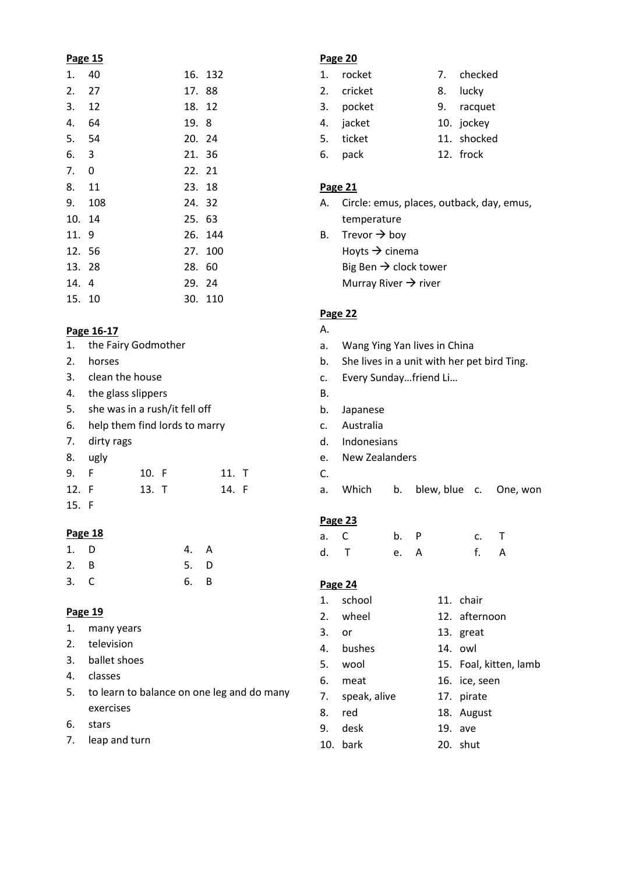#### **Page 15**

| 1. 40  |        |        | 16. 132 |
|--------|--------|--------|---------|
| 2.27   |        | 17. 88 |         |
| 3.12   |        | 18. 12 |         |
| 4. 64  |        | 19. 8  |         |
| 5. 54  |        | 20. 24 |         |
| 6. 3   |        | 21. 36 |         |
| 7.0    |        | 22. 21 |         |
| 8. 11  |        | 23. 18 |         |
|        | 9. 108 | 24. 32 |         |
| 10. 14 |        | 25. 63 |         |
| 11. 9  |        |        | 26. 144 |
| 12. 56 |        |        | 27. 100 |
| 13. 28 |        | 28. 60 |         |
| 14. 4  |        | 29. 24 |         |
| 15. 10 |        |        | 30. 110 |

#### **Page 16-17**

| 1. |  |  |  | the Fairy Godmother |
|----|--|--|--|---------------------|
|----|--|--|--|---------------------|

- 2. horses
- 3. clean the house
- 4. the glass slippers
- 5. she was in a rush/it fell off
- 6. help them find lords to marry
- 7. dirty rags

|       | 8. ugly |       |  |       |  |
|-------|---------|-------|--|-------|--|
| 9. F  |         | 10. F |  | 11. T |  |
| 12. F |         | 13. T |  | 14. F |  |
| 15. F |         |       |  |       |  |

#### **Page 18**

| 1. D | 4. A |  |
|------|------|--|
| 2. B | 5. D |  |
| 3. C | 6. B |  |

#### **Page 19**

- 1. many years
- 2. television
- 3. ballet shoes
- 4. classes
- 5. to learn to balance on one leg and do many exercises
- 6. stars
- 7. leap and turn

## **Page 20**

- 1. rocket 7. checked 2. cricket 8. lucky 3. pocket 9. racquet 4. jacket 10. jockey 5. ticket 11. shocked
- 6. pack 12. frock

## **Page 21**

- A. Circle: emus, places, outback, day, emus, temperature
- B. Trevor  $\rightarrow$  boy Hoyts  $\rightarrow$  cinema Big Ben → clock tower Murray River  $\rightarrow$  river

## **Page 22**

#### A.

- a. Wang Ying Yan lives in China
- b. She lives in a unit with her pet bird Ting.
- c. Every Sunday…friend Li…
- B. b. Japanese
- c. Australia
- d. Indonesians
- e. New Zealanders
- C.
- a. Which b. blew, blue c. One, won

#### **Page 23**

| a. C |      | b. P | c. T |  |
|------|------|------|------|--|
|      | d. T | e. A | f. A |  |

#### **Page 24**

- 1. school 11. chair 2. wheel 12. afternoon
- 3. or 13. great
- 4. bushes 14. owl
- 5. wool 15. Foal, kitten, lamb
	-
- 6. meat 16. ice, seen
- 7. speak, alive 17. pirate
- 8. red 18. August
- 9. desk 19. ave
- 10. bark 20. shut